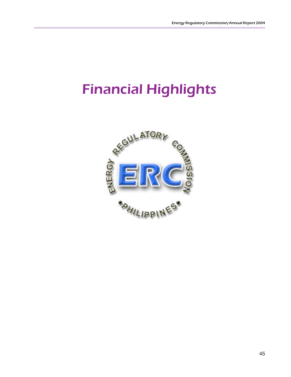# Financial Highlights

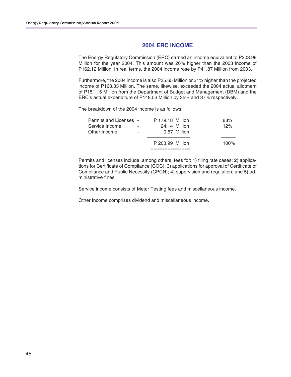#### **2004 ERC INCOME**

The Energy Regulatory Commission (ERC) earned an income equivalent to P203.99 Million for the year 2004. This amount was 26% higher than the 2003 income of P162.12 Million. In real terms, the 2004 income rose by P41.87 Million from 2003.

Furthermore, the 2004 income is also P35.65 Million or 21% higher than the projected income of P168.33 Million. The same, likewise, exceeded the 2004 actual allotment of P151.15 Million from the Department of Budget and Management (DBM) and the ERC's actual expenditure of P148.53 Million by 35% and 37% respectively.

The breakdown of the 2004 income is as follows:

|                               |                          | P 203.99 Million        |               | $100\%$ |
|-------------------------------|--------------------------|-------------------------|---------------|---------|
| Other Income                  | $\overline{\phantom{a}}$ |                         | 0.67 Million  |         |
| Service Income                | ٠                        |                         | 24.14 Million | 12%     |
| <b>Permits and Licenses -</b> |                          | <b>P</b> 179.18 Million |               | 88%     |

Permits and licenses include, among others, fees for: 1) filing rate cases; 2) applications for Certificate of Compliance (COC); 3) applications for approval of Certificate of Compliance and Public Necessity (CPCN); 4) supervision and regulation; and 5) administrative fines.

Service income consists of Meter Testing fees and miscellaneous income.

Other Income comprises dividend and miscellaneous income.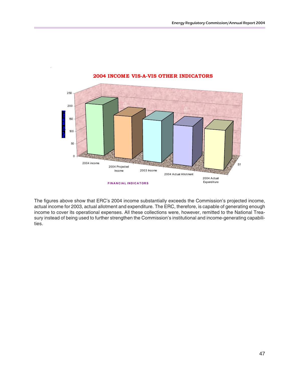

#### **2004 INCOME VIS-A-VIS OTHER INDICATORS**

The figures above show that ERC's 2004 income substantially exceeds the Commission's projected income, actual income for 2003, actual allotment and expenditure. The ERC, therefore, is capable of generating enough income to cover its operational expenses. All these collections were, however, remitted to the National Treasury instead of being used to further strengthen the Commission's institutional and income-generating capabilities.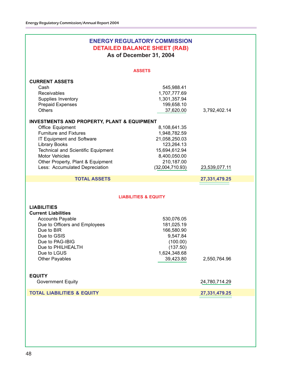| <b>ENERGY REGULATORY COMMISSION</b><br><b>DETAILED BALANCE SHEET (RAB)</b><br>As of December 31, 2004                                                                                                                                                                                                         |                                                                                                                               |               |  |
|---------------------------------------------------------------------------------------------------------------------------------------------------------------------------------------------------------------------------------------------------------------------------------------------------------------|-------------------------------------------------------------------------------------------------------------------------------|---------------|--|
| <b>ASSETS</b>                                                                                                                                                                                                                                                                                                 |                                                                                                                               |               |  |
| <b>CURRENT ASSETS</b><br>Cash<br>Receivables<br>Supplies Inventory<br><b>Prepaid Expenses</b><br><b>Others</b>                                                                                                                                                                                                | 545,988.41<br>1,707,777.69<br>1,301,357.94<br>199,658.10<br>37,620.00                                                         | 3,792,402.14  |  |
| <b>INVESTMENTS AND PROPERTY, PLANT &amp; EQUIPMENT</b><br>Office Equipment<br><b>Furniture and Fixtures</b><br>IT Equipment and Software<br><b>Library Books</b><br><b>Technical and Scientific Equipment</b><br><b>Motor Vehicles</b><br>Other Property, Plant & Equipment<br>Less: Accumulated Depreciation | 8,108,641.35<br>1,948,782.59<br>21,058,250.03<br>123,264.13<br>15,694,612.94<br>8,400,050.00<br>210,187.00<br>(32,004,710.93) | 23,539,077.11 |  |
| <b>TOTAL ASSETS</b>                                                                                                                                                                                                                                                                                           |                                                                                                                               | 27,331,479.25 |  |
| <b>LIABILITIES &amp; EQUITY</b>                                                                                                                                                                                                                                                                               |                                                                                                                               |               |  |
| <b>LIABILITIES</b><br><b>Current Liabilities</b><br><b>Accounts Payable</b><br>Due to Officers and Employees<br>Due to BIR<br>Due to GSIS<br>Due to PAG-IBIG<br>Due to PHILHEALTH<br>Due to LGUS<br>Other Payables                                                                                            | 530,076.05<br>181,025.19<br>166,580.90<br>9,547.84<br>(100.00)<br>(137.50)<br>1,624,348.68<br>39,423.80                       | 2,550,764.96  |  |
| <b>EQUITY</b><br><b>Government Equity</b>                                                                                                                                                                                                                                                                     |                                                                                                                               | 24,780,714.29 |  |
| <b>TOTAL LIABILITIES &amp; EQUITY</b>                                                                                                                                                                                                                                                                         |                                                                                                                               | 27,331,479.25 |  |
|                                                                                                                                                                                                                                                                                                               |                                                                                                                               |               |  |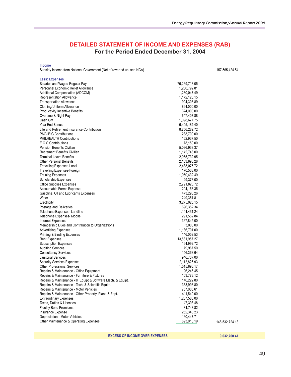157,565,424.54

## **DETAILED STATEMENT OF INCOME AND EXPENSES (RAB) For the Period Ended December 31, 2004**

**Income**

Subsidy Income from National Government (Net of reverted unused NCA)

| <b>Less: Expenses</b>                                        |               |                |
|--------------------------------------------------------------|---------------|----------------|
| Salaries and Wages-Regular Pay                               | 76,269,713.05 |                |
| Personnel Economic Relief Allowance                          | 1,280,792.81  |                |
| Additional Compensation (ADCOM)                              | 1,280,047.49  |                |
| Representation Allowance                                     | 1,172,126.15  |                |
| <b>Transportation Allowance</b>                              | 904,306.89    |                |
| Clothing/Uniform Allowance                                   | 864,000.00    |                |
| <b>Productivity Incentive Benefits</b>                       | 324,000.00    |                |
| Overtime & Night Pay                                         | 647,407.88    |                |
| Cash Gift                                                    | 1,098,677.75  |                |
| Year End Bonus                                               | 6,445,184.40  |                |
| Life and Retirement Insurance Contribution                   | 8,756,282.72  |                |
| <b>PAG-IBIG Contributions</b>                                | 238,700.00    |                |
| PHILHEALTH Contributions                                     | 162,937.50    |                |
|                                                              |               |                |
| E C C Contributions                                          | 78,150.00     |                |
| <b>Pension Benefits Civilian</b>                             | 5,096,938.37  |                |
| <b>Retirement Benefits Civilian</b>                          | 1,142,748.00  |                |
| <b>Terminal Leave Benefits</b>                               | 2,065,732.95  |                |
| <b>Other Personal Benefits</b>                               | 2,163,895.28  |                |
| <b>Travelling Expenses-Local</b>                             | 2,483,075.72  |                |
| <b>Travelling Expenses-Foreign</b>                           | 170,538.00    |                |
| <b>Training Expenses</b>                                     | 1,950,432.49  |                |
| <b>Scholarship Expenses</b>                                  | 29,373.00     |                |
| <b>Office Supplies Expenses</b>                              | 2,791,828.72  |                |
| Accountable Forms Expense                                    | 204,158.35    |                |
| Gasoline, Oil and Lubricants Expenses                        | 473,298.26    |                |
| Water                                                        | 249,351.81    |                |
| Electricity                                                  | 3,275,025.15  |                |
| Postage and Deliveries                                       | 696,352.34    |                |
| Telephone Expenses-Landline                                  | 1,194,431.24  |                |
| Telephone Expenses- Mobile                                   | 291,552.84    |                |
| Internet Expenses                                            | 367,845.00    |                |
| Membership Dues and Contribution to Organizations            | 3,000.00      |                |
| <b>Advertising Expenses</b>                                  | 1,136,701.00  |                |
| Printing & Binding Expenses                                  | 146,059.53    |                |
| Rent Expenses                                                | 13,581,957.27 |                |
| <b>Subscription Expenses</b>                                 | 164,992.72    |                |
| <b>Auditing Services</b>                                     | 79,967.50     |                |
| <b>Consultancy Services</b>                                  | 156,363.64    |                |
| <b>Janitorial Services</b>                                   | 946,737.00    |                |
| <b>Security Services Expenses</b>                            | 2,112,826.93  |                |
| <b>Other Professional Services</b>                           | 1,515,896.17  |                |
| Repairs & Maintenance - Office Equipment                     | 96,246.45     |                |
| Repairs & Maintenance - Furniture & Fixtures                 | 103,773.12    |                |
| Repairs & Maintenance - IT Equipt & Software Mach. & Equipt. | 146,222.80    |                |
| Repairs & Maintenance - Tech. & Scientific Equipt.           | 358,998.80    |                |
| Repairs & Maintenance - Motor Vehicles                       | 757,005.61    |                |
| Repairs & Maintenance - Other Property, Plant, & Eqpt.       | 411,540.00    |                |
| <b>Extraordinary Expenses</b>                                | 1,207,588.00  |                |
| Taxes, Duties & Licenses                                     | 47,398.48     |                |
|                                                              | 84,743.82     |                |
| <b>Fidelity Bond Premiums</b>                                |               |                |
| Insurance Expense                                            | 252,343.23    |                |
| Depreciation - Motor Vehicles                                | 160,447.71    |                |
| Other Maintenance & Operating Expenses                       | 893,010.19    | 148,532,724.13 |
|                                                              |               |                |

**EXCESS OF INCOME OVER EXPENSES**

 **9,032,700.41**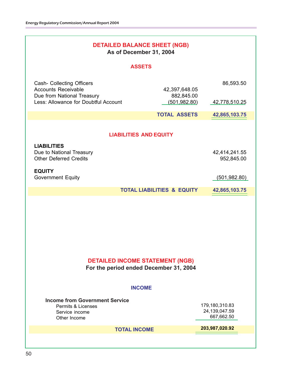| <b>DETAILED BALANCE SHEET (NGB)</b><br>As of December 31, 2004                                |                                       |                                               |  |  |  |
|-----------------------------------------------------------------------------------------------|---------------------------------------|-----------------------------------------------|--|--|--|
| <b>ASSETS</b>                                                                                 |                                       |                                               |  |  |  |
| <b>Cash- Collecting Officers</b><br><b>Accounts Receivable</b><br>Due from National Treasury  | 42,397,648.05<br>882,845.00           | 86,593.50                                     |  |  |  |
| Less: Allowance for Doubtful Account                                                          | (501, 982.80)                         | 42,778,510.25                                 |  |  |  |
|                                                                                               | <b>TOTAL ASSETS</b>                   | 42,865,103.75                                 |  |  |  |
| <b>LIABILITIES AND EQUITY</b>                                                                 |                                       |                                               |  |  |  |
| <b>LIABILITIES</b><br>Due to National Treasury<br><b>Other Deferred Credits</b>               |                                       | 42,414,241.55<br>952,845.00                   |  |  |  |
| <b>EQUITY</b><br><b>Government Equity</b>                                                     |                                       | (501, 982.80)                                 |  |  |  |
|                                                                                               | <b>TOTAL LIABILITIES &amp; EQUITY</b> | 42,865,103.75                                 |  |  |  |
| <b>DETAILED INCOME STATEMENT (NGB)</b><br>For the period ended December 31, 2004              |                                       |                                               |  |  |  |
| <b>INCOME</b>                                                                                 |                                       |                                               |  |  |  |
| <b>Income from Government Service</b><br>Permits & Licenses<br>Service income<br>Other Income |                                       | 179,180,310.83<br>24,139,047.59<br>667,662.50 |  |  |  |
| <b>TOTAL INCOME</b>                                                                           |                                       | 203,987,020.92                                |  |  |  |
|                                                                                               |                                       |                                               |  |  |  |